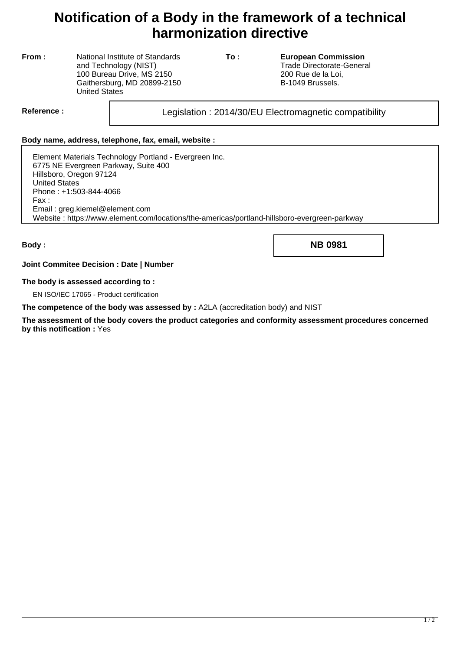## **Notification of a Body in the framework of a technical harmonization directive**

**From :** National Institute of Standards and Technology (NIST) 100 Bureau Drive, MS 2150 Gaithersburg, MD 20899-2150 United States

**To : European Commission** Trade Directorate-General 200 Rue de la Loi, B-1049 Brussels.

Reference : and all the updation : 2014/30/EU Electromagnetic compatibility

## **Body name, address, telephone, fax, email, website :**

Element Materials Technology Portland - Evergreen Inc. 6775 NE Evergreen Parkway, Suite 400 Hillsboro, Oregon 97124 United States Phone : +1:503-844-4066 Fax : Email : greg.kiemel@element.com Website : https://www.element.com/locations/the-americas/portland-hillsboro-evergreen-parkway

**Body : NB 0981**

**Joint Commitee Decision : Date | Number**

## **The body is assessed according to :**

EN ISO/IEC 17065 - Product certification

**The competence of the body was assessed by :** A2LA (accreditation body) and NIST

**The assessment of the body covers the product categories and conformity assessment procedures concerned by this notification :** Yes